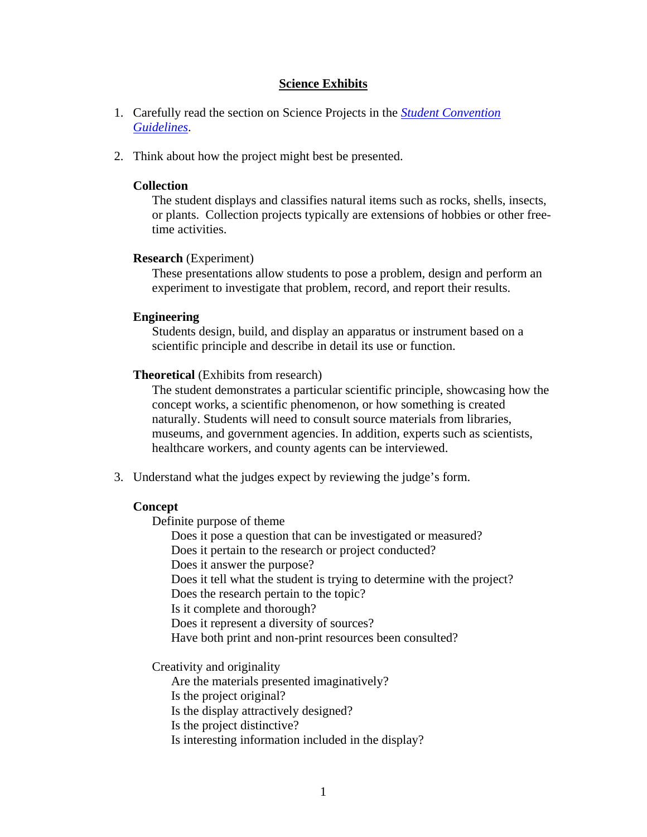## **Science Exhibits**

- 1. Carefully read the section on Science Projects in the *[Student Convention](http://www.acestudentprograms.com/guidelines)  [Guidelines](http://www.acestudentprograms.com/guidelines)*.
- 2. Think about how the project might best be presented.

### **Collection**

The student displays and classifies natural items such as rocks, shells, insects, or plants. Collection projects typically are extensions of hobbies or other freetime activities.

### **Research** (Experiment)

These presentations allow students to pose a problem, design and perform an experiment to investigate that problem, record, and report their results.

### **Engineering**

Students design, build, and display an apparatus or instrument based on a scientific principle and describe in detail its use or function.

### **Theoretical** (Exhibits from research)

The student demonstrates a particular scientific principle, showcasing how the concept works, a scientific phenomenon, or how something is created naturally. Students will need to consult source materials from libraries, museums, and government agencies. In addition, experts such as scientists, healthcare workers, and county agents can be interviewed.

3. Understand what the judges expect by reviewing the judge's form.

## **Concept**

Definite purpose of theme

Does it pose a question that can be investigated or measured? Does it pertain to the research or project conducted? Does it answer the purpose? Does it tell what the student is trying to determine with the project? Does the research pertain to the topic? Is it complete and thorough? Does it represent a diversity of sources? Have both print and non-print resources been consulted?

Creativity and originality

Are the materials presented imaginatively?

Is the project original? Is the display attractively designed?

Is the project distinctive?

Is interesting information included in the display?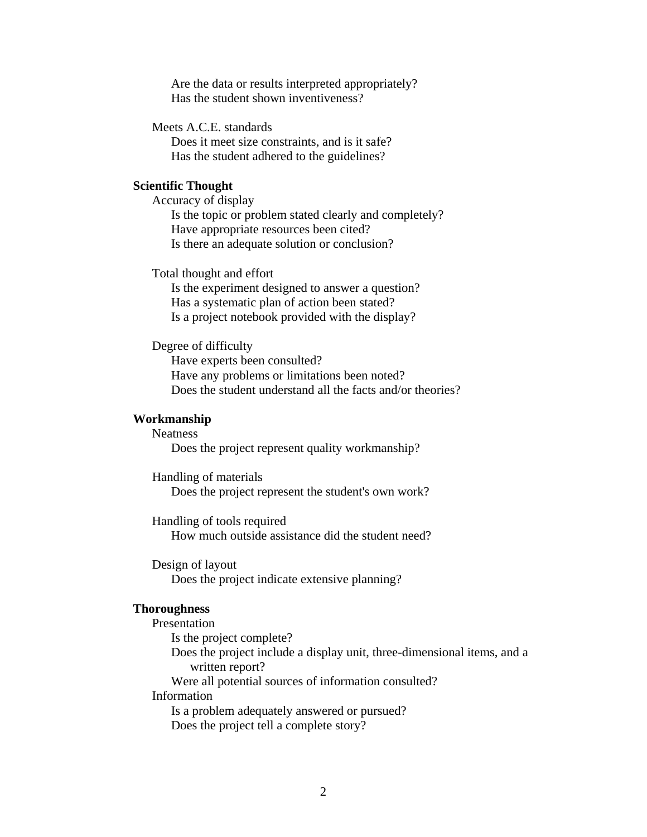Are the data or results interpreted appropriately? Has the student shown inventiveness?

Meets A.C.E. standards

Does it meet size constraints, and is it safe? Has the student adhered to the guidelines?

## **Scientific Thought**

Accuracy of display Is the topic or problem stated clearly and completely? Have appropriate resources been cited? Is there an adequate solution or conclusion?

Total thought and effort

 Is the experiment designed to answer a question? Has a systematic plan of action been stated? Is a project notebook provided with the display?

Degree of difficulty

 Have experts been consulted? Have any problems or limitations been noted? Does the student understand all the facts and/or theories?

#### **Workmanship**

**Neatness** 

Does the project represent quality workmanship?

 Handling of materials Does the project represent the student's own work?

 Handling of tools required How much outside assistance did the student need?

 Design of layout Does the project indicate extensive planning?

#### **Thoroughness**

Presentation Is the project complete? Does the project include a display unit, three-dimensional items, and a written report? Were all potential sources of information consulted? Information Is a problem adequately answered or pursued? Does the project tell a complete story?